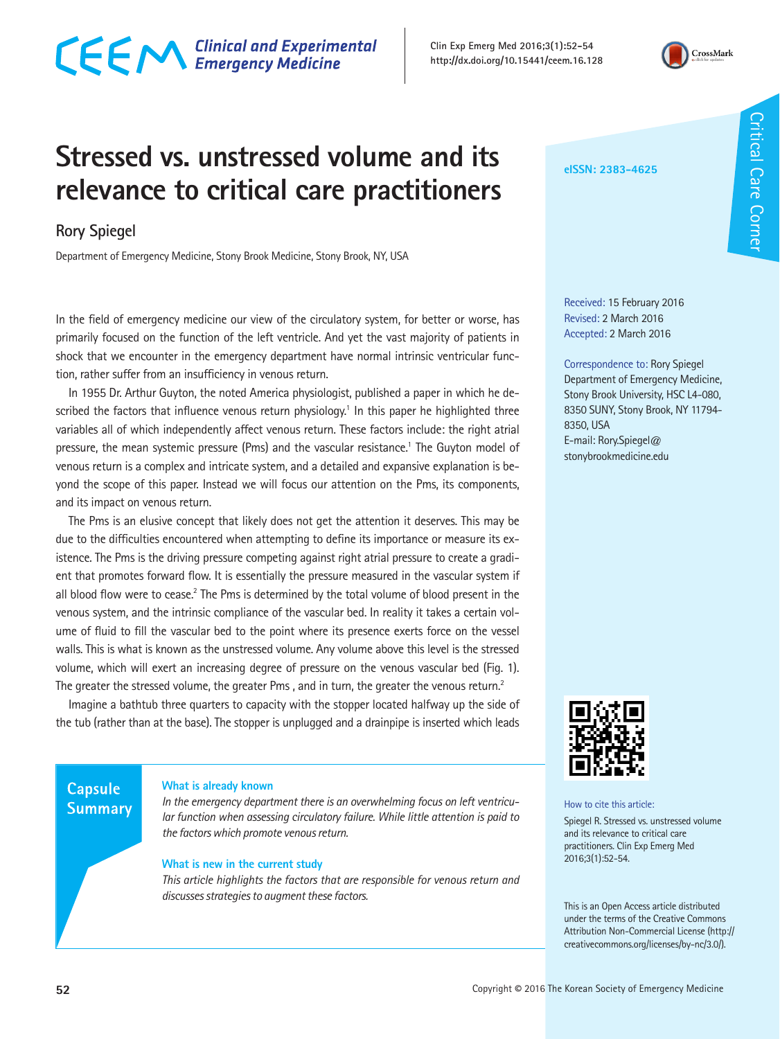# CECM Clinical and Experimental

**Clin Exp Emerg Med 2016;3(1):52-54 http://dx.doi.org/10.15441/ceem.16.128**



# **Stressed vs. unstressed volume and its relevance to critical care practitioners**

## **Rory Spiegel**

Department of Emergency Medicine, Stony Brook Medicine, Stony Brook, NY, USA

In the field of emergency medicine our view of the circulatory system, for better or worse, has primarily focused on the function of the left ventricle. And yet the vast majority of patients in shock that we encounter in the emergency department have normal intrinsic ventricular function, rather suffer from an insufficiency in venous return.

In 1955 Dr. Arthur Guyton, the noted America physiologist, published a paper in which he described the factors that influence venous return physiology.<sup>1</sup> In this paper he highlighted three variables all of which independently affect venous return. These factors include: the right atrial pressure, the mean systemic pressure (Pms) and the vascular resistance.<sup>1</sup> The Guyton model of venous return is a complex and intricate system, and a detailed and expansive explanation is beyond the scope of this paper. Instead we will focus our attention on the Pms, its components, and its impact on venous return.

The Pms is an elusive concept that likely does not get the attention it deserves. This may be due to the difficulties encountered when attempting to define its importance or measure its existence. The Pms is the driving pressure competing against right atrial pressure to create a gradient that promotes forward flow. It is essentially the pressure measured in the vascular system if all blood flow were to cease.<sup>2</sup> The Pms is determined by the total volume of blood present in the venous system, and the intrinsic compliance of the vascular bed. In reality it takes a certain volume of fluid to fill the vascular bed to the point where its presence exerts force on the vessel walls. This is what is known as the unstressed volume. Any volume above this level is the stressed volume, which will exert an increasing degree of pressure on the venous vascular bed (Fig. 1). The greater the stressed volume, the greater Pms, and in turn, the greater the venous return.<sup>2</sup>

Imagine a bathtub three quarters to capacity with the stopper located halfway up the side of the tub (rather than at the base). The stopper is unplugged and a drainpipe is inserted which leads

### **Capsule Summary**

### **What is already known**

*In the emergency department there is an overwhelming focus on left ventricular function when assessing circulatory failure. While little attention is paid to the factors which promote venous return.*

### **What is new in the current study**

*This article highlights the factors that are responsible for venous return and discusses strategies to augment these factors.*

How to cite this article:

Spiegel R. Stressed vs. unstressed volume and its relevance to critical care practitioners. Clin Exp Emerg Med 2016;3(1):52-54.

This is an Open Access article distributed under the terms of the Creative Commons Attribution Non-Commercial License (http:// creativecommons.org/licenses/by-nc/3.0/).

Received: 15 February 2016 Revised: 2 March 2016 Accepted: 2 March 2016

Correspondence to: Rory Spiegel Department of Emergency Medicine, Stony Brook University, HSC L4-080, 8350 SUNY, Stony Brook, NY 11794-

8350, USA

E-mail: Rory.Spiegel@ stonybrookmedicine.edu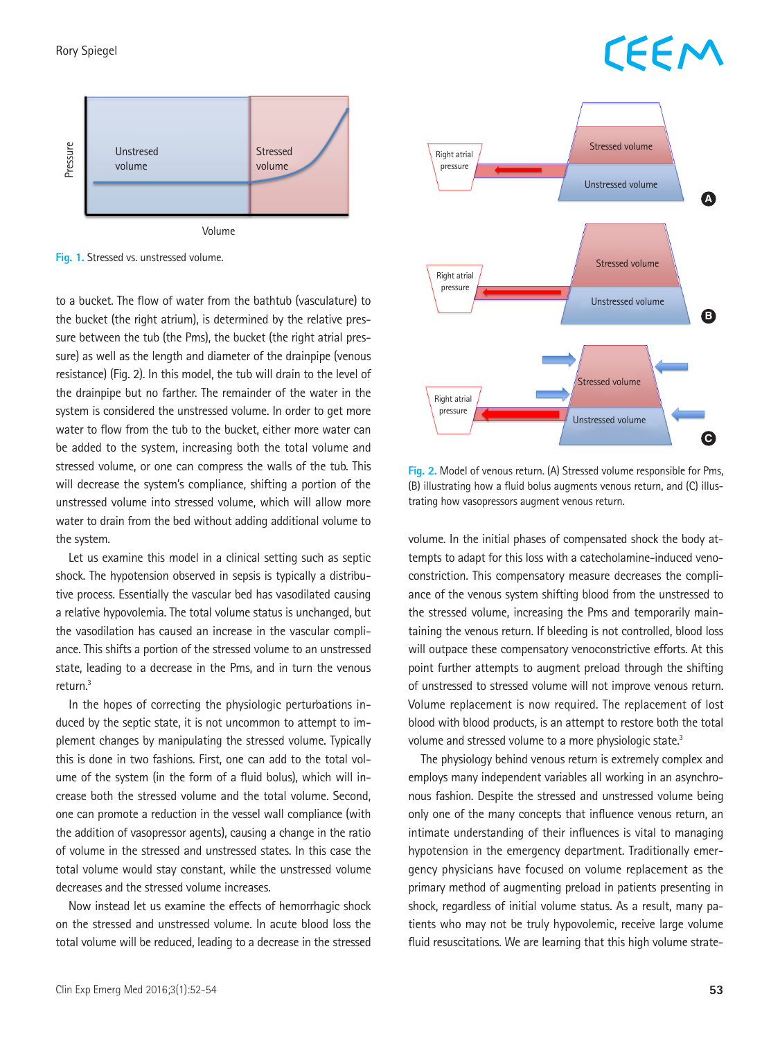# **CEEM**



**Fig. 1.** Stressed vs. unstressed volume.

to a bucket. The flow of water from the bathtub (vasculature) to Network Controller Construction of Unstressed volume the bucket (the right atrium), is determined by the relative pressure between the tub (the Pms), the bucket (the right atrial pressure) as well as the length and diameter of the drainpipe (venous resistance) (Fig. 2). In this model, the tub will drain to the level of the drainpipe but no farther. The remainder of the water in the system is considered the unstressed volume. In order to get more water to flow from the tub to the bucket, either more water can be added to the system, increasing both the total volume and stressed volume, or one can compress the walls of the tub. This will decrease the system's compliance, shifting a portion of the unstressed volume into stressed volume, which will allow more water to drain from the bed without adding additional volume to the system.

Let us examine this model in a clinical setting such as septic shock. The hypotension observed in sepsis is typically a distributive process. Essentially the vascular bed has vasodilated causing a relative hypovolemia. The total volume status is unchanged, but the vasodilation has caused an increase in the vascular compliance. This shifts a portion of the stressed volume to an unstressed state, leading to a decrease in the Pms, and in turn the venous return.3

In the hopes of correcting the physiologic perturbations induced by the septic state, it is not uncommon to attempt to implement changes by manipulating the stressed volume. Typically this is done in two fashions. First, one can add to the total volume of the system (in the form of a fluid bolus), which will increase both the stressed volume and the total volume. Second, one can promote a reduction in the vessel wall compliance (with the addition of vasopressor agents), causing a change in the ratio of volume in the stressed and unstressed states. In this case the total volume would stay constant, while the unstressed volume decreases and the stressed volume increases.

Now instead let us examine the effects of hemorrhagic shock on the stressed and unstressed volume. In acute blood loss the total volume will be reduced, leading to a decrease in the stressed



**Fig. 2.** Model of venous return. (A) Stressed volume responsible for Pms, (B) illustrating how a fluid bolus augments venous return, and (C) illustrating how vasopressors augment venous return.

volume. In the initial phases of compensated shock the body attempts to adapt for this loss with a catecholamine-induced venoconstriction. This compensatory measure decreases the compliance of the venous system shifting blood from the unstressed to the stressed volume, increasing the Pms and temporarily maintaining the venous return. If bleeding is not controlled, blood loss will outpace these compensatory venoconstrictive efforts. At this point further attempts to augment preload through the shifting of unstressed to stressed volume will not improve venous return. Volume replacement is now required. The replacement of lost blood with blood products, is an attempt to restore both the total volume and stressed volume to a more physiologic state.<sup>3</sup>

The physiology behind venous return is extremely complex and employs many independent variables all working in an asynchronous fashion. Despite the stressed and unstressed volume being only one of the many concepts that influence venous return, an intimate understanding of their influences is vital to managing hypotension in the emergency department. Traditionally emergency physicians have focused on volume replacement as the primary method of augmenting preload in patients presenting in shock, regardless of initial volume status. As a result, many patients who may not be truly hypovolemic, receive large volume fluid resuscitations. We are learning that this high volume strate-